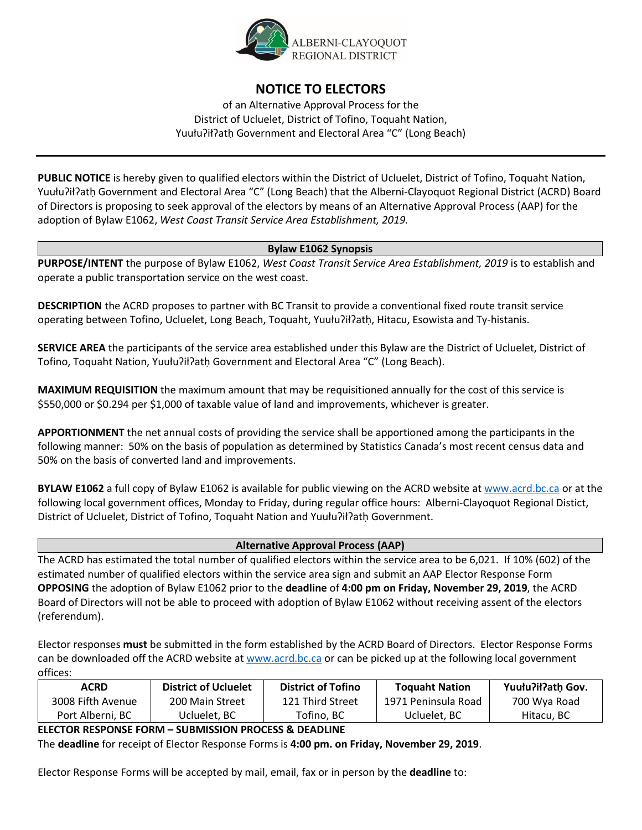

# **NOTICE TO ELECTORS**

of an Alternative Approval Process for the District of Ucluelet, District of Tofino, Toquaht Nation, Yuułuʔiłʔatḥ Government and Electoral Area "C" (Long Beach)

**PUBLIC NOTICE** is hereby given to qualified electors within the District of Ucluelet, District of Tofino, Toquaht Nation, Yuułuʔiłʔatḥ Government and Electoral Area "C" (Long Beach) that the Alberni-Clayoquot Regional District (ACRD) Board of Directors is proposing to seek approval of the electors by means of an Alternative Approval Process (AAP) for the adoption of Bylaw E1062, *West Coast Transit Service Area Establishment, 2019.* 

## **Bylaw E1062 Synopsis**

**PURPOSE/INTENT** the purpose of Bylaw E1062, *West Coast Transit Service Area Establishment, 2019* is to establish and operate a public transportation service on the west coast.

**DESCRIPTION** the ACRD proposes to partner with BC Transit to provide a conventional fixed route transit service operating between Tofino, Ucluelet, Long Beach, Toquaht, Yuułuʔiłʔatḥ, Hitacu, Esowista and Ty-histanis.

**SERVICE AREA** the participants of the service area established under this Bylaw are the District of Ucluelet, District of Tofino, Toquaht Nation, Yuułuʔiłʔatḥ Government and Electoral Area "C" (Long Beach).

**MAXIMUM REQUISITION** the maximum amount that may be requisitioned annually for the cost of this service is \$550,000 or \$0.294 per \$1,000 of taxable value of land and improvements, whichever is greater.

**APPORTIONMENT** the net annual costs of providing the service shall be apportioned among the participants in the following manner: 50% on the basis of population as determined by Statistics Canada's most recent census data and 50% on the basis of converted land and improvements.

**BYLAW E1062** a full copy of Bylaw E1062 is available for public viewing on the ACRD website at [www.acrd.bc.ca](http://www.acrd.bc.ca/) or at the following local government offices, Monday to Friday, during regular office hours: Alberni-Clayoquot Regional Distict, District of Ucluelet, District of Tofino, Toquaht Nation and Yuułuʔiłʔatḥ Government.

## **Alternative Approval Process (AAP)**

The ACRD has estimated the total number of qualified electors within the service area to be 6,021. If 10% (602) of the estimated number of qualified electors within the service area sign and submit an AAP Elector Response Form **OPPOSING** the adoption of Bylaw E1062 prior to the **deadline** of **4:00 pm on Friday, November 29, 2019**, the ACRD Board of Directors will not be able to proceed with adoption of Bylaw E1062 without receiving assent of the electors (referendum).

Elector responses **must** be submitted in the form established by the ACRD Board of Directors. Elector Response Forms can be downloaded off the ACRD website at [www.acrd.bc.ca](http://www.acrd.bc.ca/) or can be picked up at the following local government offices:

| <b>ACRD</b>       | <b>District of Ucluelet</b> | <b>District of Tofino</b> | <b>Toquaht Nation</b> | Yuułu?ił?ath Gov. |
|-------------------|-----------------------------|---------------------------|-----------------------|-------------------|
| 3008 Fifth Avenue | 200 Main Street             | 121 Third Street          | 1971 Peninsula Road   | 700 Wya Road      |
| Port Alberni. BC  | Ucluelet, BC                | Totino, BC                | Ucluelet. BC          | Hitacu, BC        |

# **ELECTOR RESPONSE FORM – SUBMISSION PROCESS & DEADLINE**

The **deadline** for receipt of Elector Response Forms is **4:00 pm. on Friday, November 29, 2019**.

Elector Response Forms will be accepted by mail, email, fax or in person by the **deadline** to: